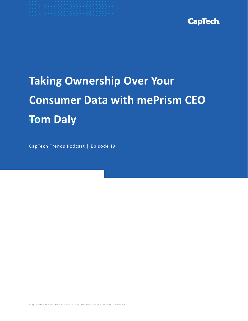

# **Taking Ownership Over Your Consumer Data with mePrism CEO Tom Daly**

CapTech Trends Podcast | Episode 19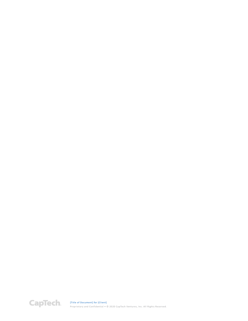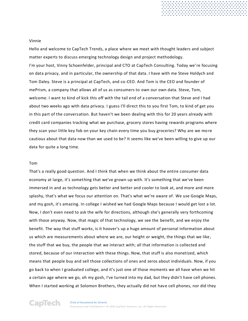# Vinnie

Hello and welcome to CapTech Trends, a place where we meet with thought leaders and subject matter experts to discuss emerging technology design and project methodology. I'm your host, Vinny Schoenfelder, principal and CTO at CapTech Consulting. Today we're focusing on data privacy, and in particular, the ownership of that data. I have with me Steve Holdych and Tom Daley. Steve is a principal at CapTech, and co-CEO. And Tom is the CEO and founder of mePrism, a company that allows all of us as consumers to own our own data. Steve, Tom, welcome. I want to kind of kick this off with the tail end of a conversation that Steve and I had about two weeks ago with data privacy. I guess I'll direct this to you first Tom, to kind of get you in this part of the conversation. But haven't we been dealing with this for 20 years already with credit card companies tracking what we purchase, grocery stores having rewards programs where they scan your little key fob on your key chain every time you buy groceries? Why are we mo re cautious about that data now than we used to be? It seems like we've been willing to give up our data for quite a long time.

#### Tom

**CapTech.** 

That's a really good question. And I think that when we think about the entire consumer data economy at large, it's something that we've grown up with. It's something that we've been immersed in and as technology gets better and better and cooler to look at, and more and more splashy, that's what we focus our attention on. That's what we're aware of. We use Google Maps, and my gosh, it's amazing. In college I wished we had Google Maps because I would get lost a lot. Now, I don't even need to ask the wife for directions, although she's generally very forthcoming with those anyway. Now, that magic of that technology, we see the benefit, and we enjoy the benefit. The way that stuff works, is it hoover's up a huge amount of personal information about us which are measurements about where we are, our height or weight, the things that we like, the stuff that we buy, the people that we interact with; all that information is collected and stored, because of our interaction with these things. Now, that stuff is also monetized, which means that people buy and sell those collections of ones and zeros about individuals. Now, if you go back to when I graduated college, and it's just one of those moments we all have when we hit a certain age where we go, oh my gosh, I've turned into my dad, but they didn't have cell phones. When I started working at Solomon Brothers, they actually did not have cell phones, nor did they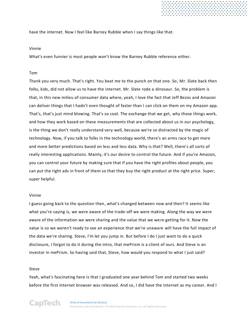have the internet. Now I feel like Barney Rubble when I say things like that.

# Vinnie

What's even funnier is most people won't know the Barney Rubble reference either.

# Tom

Thank you very much. That's right. You beat me to the punch on that one. So, Mr. Slate back then folks, kids, did not allow us to have the internet. Mr. Slate rode a dinosaur. So, the problem is that, in this new milieu of consumer data where, yeah, I love the fact that Jeff Bezos and Amazon can deliver things that I hadn't even thought of faster than I can click on them on my Amazon app. That's, that's just mind blowing. That's so cool. The exchange that we get, why those things work, and how they work based on these measurements that are collected about us in our psychology, is the thing we don't really understand very well, because we're so distracted by the magic of technology. Now, if you talk to folks in the technology world, there's an arms race to get more and more better predictions based on less and less data. Why is that? Well, there's all sorts of really interesting applications. Mainly, it's our desire to control the future. And if you're Amazon, you can control your future by making sure that if you have the right profiles about people, you can put the right ads in front of them so that they buy the right product at the right price. Super, super helpful.

#### Vinnie

I guess going back to the question then, what's changed between now and then? It seems like what you're saying is, we were aware of the trade-off we were making. Along the way we were aware of the information we were sharing and the value that we we re getting for it. Now the value is so we weren't ready to see an experience that we're unaware will have the full impact of the data we're sharing. Steve, I'm let you jump in. But before I do I just want to do a quick disclosure, I forgot to do it during the intro, that mePrism is a client of ours. And Steve is an investor in mePrism. So having said that, Steve, how would you respond to what I just said?

# Steve

Yeah, what's fascinating here is that I graduated one year behind Tom and started two weeks before the first internet browser was released. And so, I did have the internet as my career. And I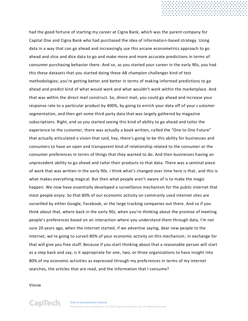had the good fortune of starting my career at Cigna Bank, which was the parent company for Capital One and Cigna Bank who had purchased the idea of information-based strategy. Using data in a way that can go ahead and increasingly use this arcane econometrics approach to go ahead and slice and dice data to go and make more and more accurate predictions in terms of consumer purchasing behavior there. And so, as you started your career in the early 90s, you had this these datasets that you started doing these AB champion challenger kind of test methodologies; you're getting better and better in terms of making informed predictions to go ahead and predict kind of what would work and what wouldn't work within the marketplace. And that was within the direct mail construct. So, direct mail, you could go ahead and increase your response rate to a particular product by 400%, by going to enrich your data off of your c ustomer segmentation, and then get some third party data that was largely gathered by magazine subscriptions. Right, and so you started seeing this kind of ability to go ahead and tailor the experience to the customer, there was actually a book written, called the "One to One Future" that actually articulated a vision that said, hey, there's going to be this ability for businesses and consumers to have an open and transparent kind of relationship related to the consumer or the consumer preferences in terms of things that they wanted to do. And then businesses having an unprecedent ability to go ahead and tailor their products to that data. There was a seminal piece of work that was written in the early 90s. I think what's changed over time here is that, and this is what makes everything magical. But then what people aren't aware of is to make the magic happen. We now have essentially developed a surveillance mechanism for the public internet that most people enjoy. So that 80% of our economic activity on commonly used internet sites are surveilled by either Google, Facebook, or the large tracking companies out there. And so if you think about that, where back in the early 90s, when you're thinking about the promise of meeting people's preferences based on an interaction where you understand them through data, I'm not sure 20 years ago, when the internet started, if we advertise saying, dear new people to the internet, we're going to surveil 80% of your economic activity on this mechanism; in exchange for that will give you free stuff. Because if you start thinking about that a reasonable person will start as a step back and say, is it appropriate for one, two, or three organizations to have insight into 80% of my economic activities as expressed through my preferences in terms of my internet searches, the articles that are read, and the information that I consume?

Vinnie

**CapTech.**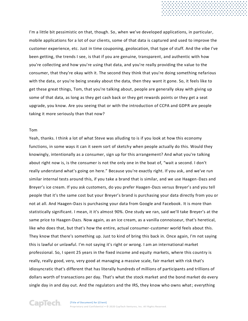I'm a little bit pessimistic on that, though. So, when we've developed applications, in particular, mobile applications for a lot of our clients, some of that data is captured and used to improve the customer experience, etc. Just in time couponing, geolocation, that type of stuff. And the vibe I've been getting, the trends I see, is that if you are genuine, transparent, and authentic with how you're collecting and how you're using that data, and you're really providing the value to the consumer, that they're okay with it. The second they think that you're doing something nefarious with the data, or you're being sneaky about the data, then they want it gone. So, it feels like to get these great things, Tom, that you're talking about, people are generally okay with giving up some of that data, as long as they get cash back or they get rewards points or they get a seat upgrade, you know. Are you seeing that or with the introduction of CCPA and GDPR are people taking it more seriously than that now?

# Tom

**CapTech.** 

Yeah, thanks. I think a lot of what Steve was alluding to is if you look at how this economy functions, in some ways it can it seem sort of sketchy when people actually do this. Would they knowingly, intentionally as a consumer, sign up for this arrangement? And what you're talking about right now is, is the consumer is not the only one in the boat of, "wait a second. I don't really understand what's going on here." Because you're exactly right. If you ask, and we've run similar internal tests around this, if you take a brand that is similar, and we use Haagen-Dazs and Breyer's ice cream. If you ask customers, do you prefer Haagen-Dazs versus Breyer's and you tell people that it's the same cost but your Breyer's brand is purchasing your data directly from you or not at all. And Haagen-Dazs is purchasing your data from Google and Facebook. It is more than statistically significant. I mean, it it's almost 90%. One study we ran, said we'll take Breyer's at the same price to Haagen-Dazs. Now again, as an ice cream, as a vanilla connoisseur, that's heretical, like who does that, but that's how the entire, actual consumer-customer world feels about this. They know that there's something up. Just to kind of bring this back in. Once again, I'm not saying this is lawful or unlawful. I'm not saying it's right or wrong. I am an international market professional. So, I spent 25 years in the fixed income and equity markets, where this country is really, really good, very, very good at managing a massive scale, fair market with risk that's idiosyncratic that's different that has literally hundreds of millions of participants and trillions of dollars worth of transactions per day. That's what the stock market and the bond market do every single day in and day out. And the regulators and the IRS, they know who owns what; everything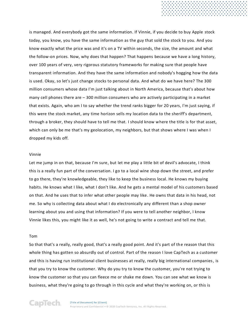is managed. And everybody got the same information. If Vinnie, if you decide to buy Apple stock today, you know, you have the same information as the guy that sold the stock to you. And you know exactly what the price was and it's on a TV within seconds, the size, the amount and what the follow-on prices. Now, why does that happen? That happens because we have a long history, over 100 years of very, very rigorous statutory frameworks for making sure that people have transparent information. And they have the same information and nobody's hogging how the data is used. Okay, so let's just change stocks to personal data. And what do we have here? The 300 million consumers whose data I'm just talking about in North America, because that's about how many cell phones there are – 300 million consumers who are actively participating in a market that exists. Again, who am I to say whether the trend ranks bigger for 20 years, I'm just saying, if this were the stock market, any time horizon sells my location data to the sheriff's department, through a broker, they should have to tell me that. I should know where the title is for that asset, which can only be me that's my geolocation, my neighbors, but that shows where I was when I dropped my kids off.

## Vinnie

Let me jump in on that, because I'm sure, but let me play a little bit of devil's advocate, I think this is a really fun part of the conversation. I go to a local wine shop down the street, and prefer to go there, they're knowledgeable, they like to keep the business local. He knows my buying habits. He knows what I like, what I don't like. And he gets a mental model of his customers based on that. And he uses that to infer what other people may like. He owns that data in his head, not me. So why is collecting data about what I do electronically any different than a shop owner learning about you and using that information? If you were to tell another neighbor, I know Vinnie likes this, you might like it as well, he's not going to write a contract and tell me that.

#### Tom

**CapTech.** 

So that that's a really, really good, that's a really good point. And it's part of the reason that this whole thing has gotten so absurdly out of control. Part of the reason I love CapTech as a customer and this is having run institutional client businesses at really, really big international companies, is that you try to know the customer. Why do you try to know the customer, you're not trying to know the customer so that you can fleece me or shake me down. You can see what we know is business, what they're going to go through in this cycle and what they're working on, or this is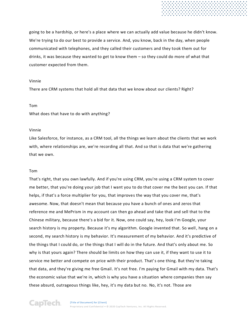going to be a hardship, or here's a place where we can actually add value because he didn't know. We're trying to do our best to provide a service. And, you know, back in the day, when people communicated with telephones, and they called their customers and they took them out for drinks, it was because they wanted to get to know them – so they could do more of what that customer expected from them.

# Vinnie

There are CRM systems that hold all that data that we know about our clients? Right?

# Tom

What does that have to do with anything?

# Vinnie

Like Salesforce, for instance, as a CRM tool, all the things we learn about the clients that we work with, where relationships are, we're recording all that. And so that is data that we're gathering that we own.

# Tom

That's right, that you own lawfully. And if you're using CRM, you're using a CRM system to cover me better, that you're doing your job that I want you to do that cover me the best you can. If that helps, if that's a force multiplier for you, that improves the way that you cover me, that's awesome. Now, that doesn't mean that because you have a bunch of ones and zeros that reference me and MePrism in my account can then go ahead and take that and sell that to the Chinese military, because there's a bid for it. Now, one could say, hey, look I'm Google, your search history is my property. Because it's my algorithm. Google invented that. So well, hang on a second, my search history is my behavior. It's measurement of my behavior. And it's predictive of the things that I could do, or the things that I will do in the future. And that's only about me. So why is that yours again? There should be limits on how they can use it, if they want to use it to service me better and compete on price with their product. That's one thing. But they're taking that data, and they're giving me free Gmail. It's not free. I'm paying for Gmail with my data. That's the economic value that we're in, which is why you have a situation where companies then say these absurd, outrageous things like, hey, it's my data but no. No, it's not. Those are

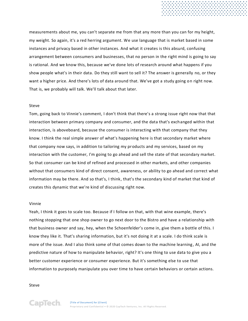measurements about me, you can't separate me from that any more than you can for my height, my weight. So again, it's a red herring argument. We use language that is market based in some instances and privacy based in other instances. And what it creates is this absurd, confusing arrangement between consumers and businesses, that no person in the right mind is going to say is rational. And we know this, because we've done lots of research around what happens if you show people what's in their data. Do they still want to sell it? The answer is generally no, or they want a higher price. And there's lots of data around that. We've got a study going on right now. That is, we probably will talk. We'll talk about that later.

# Steve

Tom, going back to Vinnie's comment, I don't think that there's a strong issue right now that that interaction between primary company and consumer, and the data that's exchanged within that interaction, is aboveboard, because the consumer is interacting with that company that they know. I think the real simple answer of what's happening here is that secondary market where that company now says, in addition to tailoring my products and my services, based on my interaction with the customer, I'm going to go ahead and sell the state of that secondary market. So that consumer can be kind of refined and processed in other markets, and other companies without that consumers kind of direct consent, awareness, or ability to go ahead and correct what information may be there. And so that's, I think, that's the secondary kind of market that kind of creates this dynamic that we're kind of discussing right now.

# Vinnie

Yeah, I think it goes to scale too. Because if I follow on that, with that wine example, there's nothing stopping that one shop owner to go next door to the Bistro and have a relationship with that business owner and say, hey, when the Schoenfelder's come in, give them a bottle of this. I know they like it. That's sharing information, but it's not doing it at a scale. I do think scale is more of the issue. And I also think some of that comes down to the machine learning , AI, and the predictive nature of how to manipulate behavior, right? It's one thing to use data to give you a better customer experience or consumer experience. But it's something else to use that information to purposely manipulate you over time to have certain behaviors or certain actions.

# Steve

**CapTech.**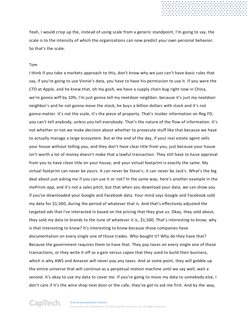Yeah, I would crisp up the, instead of using scale from a generic standpoint, I'm going to say, the scale is to the intensity of which the organizations can now predict your own personal behavior. So that's the scale.

# Tom

**CapTech.** 

I think if you take a markets approach to this, don't know why we just can't have basic rules that say, if you're going to use Vinnie's data, you have to have his permission to use it. If you were the CTO at Apple, and he knew that, oh my gosh, we have a supply chain bug right now in China, we're gonna wiff by 10%, I'm just gonna tell my nextdoor neighbor, because it's just my nextdoor neighbor's and he not gonna move the stock, he buys a billion dollars with stock and it's not gonna matter. It's not the scale, it's the piece of property. That's insider information on Reg FD, you can't tell anybody, unless you tell everybody. That's the nature of the flow of information. It's not whether or not we make decision about whether to prosecute stuff like that because we have to actually manage a large ecosystem. But at the end of the day, if your real estate agent sells your house without telling you, and they don't have clear title from you, just because your house isn't worth a lot of money doesn't make that a lawful transaction. They still have to ha ve approval from you to have clean title on your house, and your virtual footprint is exactly the same. My virtual footprint can never be yours. It can never be Steve's; it can never be Jack's. What's the big deal about just asking me if you can use it or not? In the same way, here's another example in the mePrism app, and it's not a sales pitch, but that when you download your data, we can show you if you've downloaded your Google and Facebook data. Your mind says Google and Facebook sold my data for \$1,500, during the period of whatever that is. And that's effectively adjusted the targeted ads that I've interacted in based on the pricing that they give us. Okay, they sold about, they sold my data to brands to the tune of whatever it is, \$1,500. That's interesting to know; why is that interesting to know? It's interesting to know because those companies have documentation on every single one of those trades. Who bought it? Why do they have that? Because the government requires them to have that. They pay taxes on every single one of those transactions, or they write it off as a gain versus capex that they used to build their business, which is why AWS and Amazon will never pay any taxes. And at some point, they will gobble up the entire universe that will continue as a perpetual motion machine until we say well, wait a second. It's okay to use my data to cover me. If you're going to move my data to somebody else, I don't care if it's the wine shop next door or the cafe, they've got to ask me first. And by the way,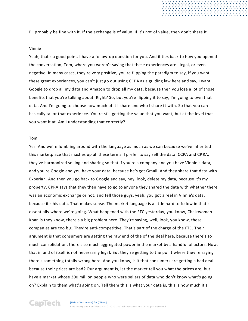I'll probably be fine with it. If the exchange is of value. If it's not of value, then don't share it.

# Vinnie

Yeah, that's a good point. I have a follow-up question for you. And it ties back to how you opened the conversation, Tom, where you weren't saying that these experiences are illegal, or even negative. In many cases, they're very positive, you're flipping the paradigm to say, if you want these great experiences, you can't just go out using CCPA as a guiding law here and say, I want Google to drop all my data and Amazon to drop all my data, because then you lose a lot of those benefits that you're talking about. Right? So, but you're flipping it to say, I'm going to own that data. And I'm going to choose how much of it I share and who I share it with. So that you can basically tailor that experience. You're still getting the value that you want, but at the level that you want it at. Am I understanding that correctly?

# Tom

Yes. And we're fumbling around with the language as much as we can because we've inherited this marketplace that mashes up all these terms. I prefer to say sell the data. CCPA and CPRA, they've harmonized selling and sharing so that if you're a company and you have Vinnie's data, and you're Google and you have your data, because he's got Gmail. And they share that data with Experian. And then you go back to Google and say, hey, look, delete my data, because it's my property. CPRA says that they then have to go to anyone they shared the data with whether there was an economic exchange or not, and tell those guys, yeah, you got a reel in Vinnie's data, because it's his data. That makes sense. The market language is a little hard to follow in that's essentially where we're going. What happened with the FTC yesterday, you know, Chairwoman Khan is they know, there's a big problem here. They're saying, well, look, you know, these companies are too big. They're anti-competitive. That's part of the charge of the FTC. Their argument is that consumers are getting the raw end of the of the deal here, because there's so much consolidation, there's so much aggregated power in the market by a handful of actors. Now, that in and of itself is not necessarily legal. But they're getting to the point where they're saying there's something totally wrong here. And you know, is it that consumers are getting a bad deal because their prices are bad? Our argument is, let the market tell you what the prices are, but have a market whose 300 million people who were sellers of data who don't know what's going on? Explain to them what's going on. Tell them this is what your data is, this is how much it's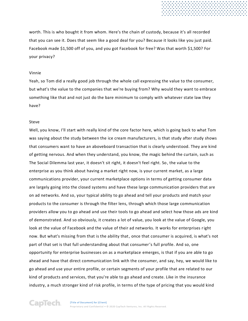worth. This is who bought it from whom. Here's the chain of custody, because it's all recorded that you can see it. Does that seem like a good deal for you? Because it looks like you just paid. Facebook made \$1,500 off of you, and you got Facebook for free? Was that worth \$1,500? For your privacy?

# Vinnie

Yeah, so Tom did a really good job through the whole call expressing the value to the consumer, but what's the value to the companies that we're buying from? Why would they want to embrace something like that and not just do the bare minimum to comply with whatever state law they have?

#### Steve

Well, you know, I'll start with really kind of the core factor here, which is going back to what Tom was saying about the study between the ice cream manufacturers, is that study after study shows that consumers want to have an aboveboard transaction that is clearly understood. They are kind of getting nervous. And when they understand, you know, the magic behind the curtain, such as The Social Dilemma last year, it doesn't sit right, it doesn't feel right. So, the value to the enterprise as you think about having a market right now, is your current market, as a large communications provider, your current marketplace options in terms of getting consumer data are largely going into the closed systems and have these large communication providers that are on ad networks. And so, your typical ability to go ahead and tell your products and match your products to the consumer is through the filter lens, through which those large communication providers allow you to go ahead and use their tools to go ahead and select how those ads are kind of demonstrated. And so obviously, it creates a lot of value, you look at the value of Google, you look at the value of Facebook and the value of their ad networks. It works for enterprises right now. But what's missing from that is the ability that, once that consumer is acquired, is what's not part of that set is that full understanding about that consumer's full profile. And so, one opportunity for enterprise businesses on as a marketplace emerges, is that if you are able to go ahead and have that direct communication link with the consumer, and say, hey, we would like to go ahead and use your entire profile, or certain segments of your profile that are related to our kind of products and services, that you're able to go ahead and create. Like in the insurance industry, a much stronger kind of risk profile, in terms of the type of pricing that you would kind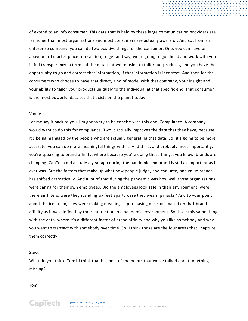of extend to an info consumer. This data that is held by these large communication providers are far richer than most organizations and most consumers are actually aware of. And so, from an enterprise company, you can do two positive things for the consumer. One, you can have an aboveboard market place transaction, to get and say, we're going to go ahead and work with you in full transparency in terms of the data that we're using to tailor our products, and you have the opportunity to go and correct that information, if that information is incorrect. And then for the consumers who choose to have that direct, kind of model with that company, your insight and your ability to tailor your products uniquely to the individual at that specific end, that consumer, is the most powerful data set that exists on the planet today.

# Vinnie

Let me say it back to you, I'm gonna try to be concise with this one. Compliance. A company would want to do this for compliance. Two it actually improves the data that they have, because it's being managed by the people who are actually generating that data. So, it's going to be more accurate, you can do more meaningful things with it. And third, and probably most importantly, you're speaking to brand affinity, where because you're doing these things, you know, brands are changing. CapTech did a study a year ago during the pandemic and brand is still as important as it ever was. But the factors that make up what how people judge, and evaluate, and value brands has shifted dramatically. And a lot of that during the pandemic was how well those organizations were caring for their own employees. Did the employees look safe in their environment, were there air filters, were they standing six feet apart, were they wearing masks? And to your point about the icecream, they were making meaningful purchasing decisions based on that brand affinity as it was defined by their interaction in a pandemic environment. So, I see this same thing with the data, where it's a different factor of brand affinity and why you like somebody and why you want to transact with somebody over time. So, I think those are the four areas that I capture them correctly.

# Steve

What do you think, Tom? I think that hit most of the points that we've talked about. Anything missing?

Tom

**CapTech.** 

[Title of Document] for [Client] Proprietary and Confidential • © 2020 CapTech Ventures, Inc. All Rights Reserved.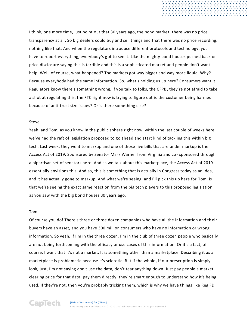I think, one more time, just point out that 30 years ago, the bond market, there was no price transparency at all. So big dealers could buy and sell things and that there was no price recording, nothing like that. And when the regulators introduce different protocols and technology, you have to report everything, everybody's got to see it. Like the mighty bond houses pushed back on price disclosure saying this is terrible and this is a sophisticated market and people don't want help. Well, of course, what happened? The markets got way bigger and way more liquid. Why? Because everybody had the same information. So, what's holding us up here? Consumers want it. Regulators know there's something wrong, if you talk to folks, the CFPB, they're not afraid to take a shot at regulating this, the FTC right now is trying to figure out is the customer being harmed because of anti-trust size issues? Or is there something else?

#### Steve

Yeah, and Tom, as you know in the public sphere right now, within the last couple of weeks here, we've had the raft of legislation proposed to go ahead and start kind of tackling this within big tech. Last week, they went to markup and one of those five bills that are under markup is the Access Act of 2019. Sponsored by Senator Mark Warner from Virginia and co- sponsored through a bipartisan set of senators here. And as we talk about this marketplace, the Access Act of 2019 essentially envisions this. And so, this is something that is actually in Congress today as an idea, and it has actually gone to markup. And what we're seeing, and I'll pick this up here for Tom, is that we're seeing the exact same reaction from the big tech players to this proposed legislation, as you saw with the big bond houses 30 years ago.

#### Tom

Of course you do! There's three or three dozen companies who have all the information and th eir buyers have an asset, and you have 300 million consumers who have no information or wrong information. So yeah, if I'm in the three dozen, I'm in the club of three dozen people who basically are not being forthcoming with the efficacy or use cases of this information. Or it's a fact, of course, I want that it's not a market. It is something other than a marketplace. Describing it as a marketplace is problematic because it's sclerotic. But if the whole, if our prescription is simply look, just, I'm not saying don't use the data, don't tear anything down. Just pay people a market clearing price for that data, pay them directly, they're smart enough to understand how it's being used. If they're not, then you're probably tricking them, which is why we have things like Reg FD

**CapTech.**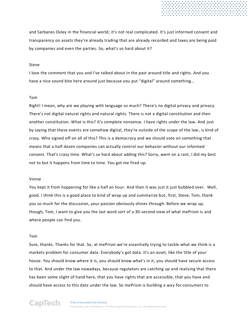and Sarbanes Oxley in the financial world; it's not real complicated. It's just informed consent and transparency on assets they're already trading that are already recorded and taxes are being paid by companies and even the parties. So, what's so hard about it?

# Steve

I love the comment that you and I've talked about in the past around title and rights. And you have a nice sound bite here around just because you put "digital" around something…

# Tom

Right! I mean, why are we playing with language so much? There's no digital privacy and privacy. There's not digital natural rights and natural rights. There is not a digital constitution and then another constitution. What is this? It's complete nonsense. I have rights under the law. And just by saying that these events are somehow digital, they're outside of the scope of the law, is kind of crazy. Who signed off on all of this? This is a democracy and we should vote on something that means that a half dozen companies can actually control our behavior without our informed consent. That's crazy time. What's so hard about adding this? Sorry, went on a rant, I did my best not to but it happens from time to time. You got me fired up.

# Vinnie

You kept it from happening for like a half an hour. And then it was just it just bubbled over. Well, good. I think this is a good place to kind of wrap up and summarize but, first, Steve, Tom, thank you so much for the discussion, your passion obviously shines through. Before we wrap up, though, Tom, I want to give you the last word sort of a 30-second view of what mePrism is and where people can find you.

# Tom

**CapTech.** 

Sure, thanks. Thanks for that. So, at mePrism we're essentially trying to tackle what we think is a markets problem for consumer data. Everybody's got data. It's an asset, like the title of your house. You should know where it is, you should know what's in it, you should have secure access to that. And under the law nowadays, because regulators are catching up and realizing that there has been some slight of hand here, that you have rights that are accessible, that you have and should have access to this data under the law. So mePrism is building a way for consumers to